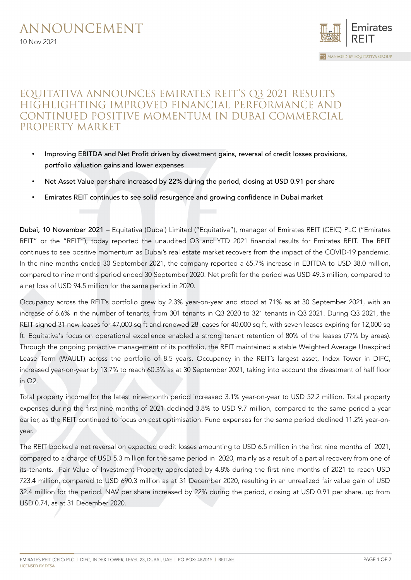

## EQUITATIVA ANNOUNCES EMIRATES REIT'S Q3 2021 RESULTS HIGHLIGHTING IMPROVED FINANCIAL PERFORMANCE AND CONTINUED POSITIVE MOMENTUM IN DUBAI COMMERCIAL PROPERTY MARKET

- Improving EBITDA and Net Profit driven by divestment gains, reversal of credit losses provisions, portfolio valuation gains and lower expenses
- Net Asset Value per share increased by 22% during the period, closing at USD 0.91 per share
- Emirates REIT continues to see solid resurgence and growing confidence in Dubai market

Dubai, 10 November 2021 – Equitativa (Dubai) Limited ("Equitativa"), manager of Emirates REIT (CEIC) PLC ("Emirates REIT" or the "REIT"), today reported the unaudited Q3 and YTD 2021 financial results for Emirates REIT. The REIT continues to see positive momentum as Dubai's real estate market recovers from the impact of the COVID-19 pandemic. In the nine months ended 30 September 2021, the company reported a 65.7% increase in EBITDA to USD 38.0 million, compared to nine months period ended 30 September 2020. Net profit for the period was USD 49.3 million, compared to a net loss of USD 94.5 million for the same period in 2020.

Occupancy across the REIT's portfolio grew by 2.3% year-on-year and stood at 71% as at 30 September 2021, with an increase of 6.6% in the number of tenants, from 301 tenants in Q3 2020 to 321 tenants in Q3 2021. During Q3 2021, the REIT signed 31 new leases for 47,000 sq ft and renewed 28 leases for 40,000 sq ft, with seven leases expiring for 12,000 sq ft. Equitativa's focus on operational excellence enabled a strong tenant retention of 80% of the leases (77% by areas). Through the ongoing proactive management of its portfolio, the REIT maintained a stable Weighted Average Unexpired Lease Term (WAULT) across the portfolio of 8.5 years. Occupancy in the REIT's largest asset, Index Tower in DIFC, increased year-on-year by 13.7% to reach 60.3% as at 30 September 2021, taking into account the divestment of half floor in Q2.

Total property income for the latest nine-month period increased 3.1% year-on-year to USD 52.2 million. Total property expenses during the first nine months of 2021 declined 3.8% to USD 9.7 million, compared to the same period a year earlier, as the REIT continued to focus on cost optimisation. Fund expenses for the same period declined 11.2% year-onyear.

The REIT booked a net reversal on expected credit losses amounting to USD 6.5 million in the first nine months of 2021, compared to a charge of USD 5.3 million for the same period in 2020, mainly as a result of a partial recovery from one of its tenants. Fair Value of Investment Property appreciated by 4.8% during the first nine months of 2021 to reach USD 723.4 million, compared to USD 690.3 million as at 31 December 2020, resulting in an unrealized fair value gain of USD 32.4 million for the period. NAV per share increased by 22% during the period, closing at USD 0.91 per share, up from USD 0.74, as at 31 December 2020.